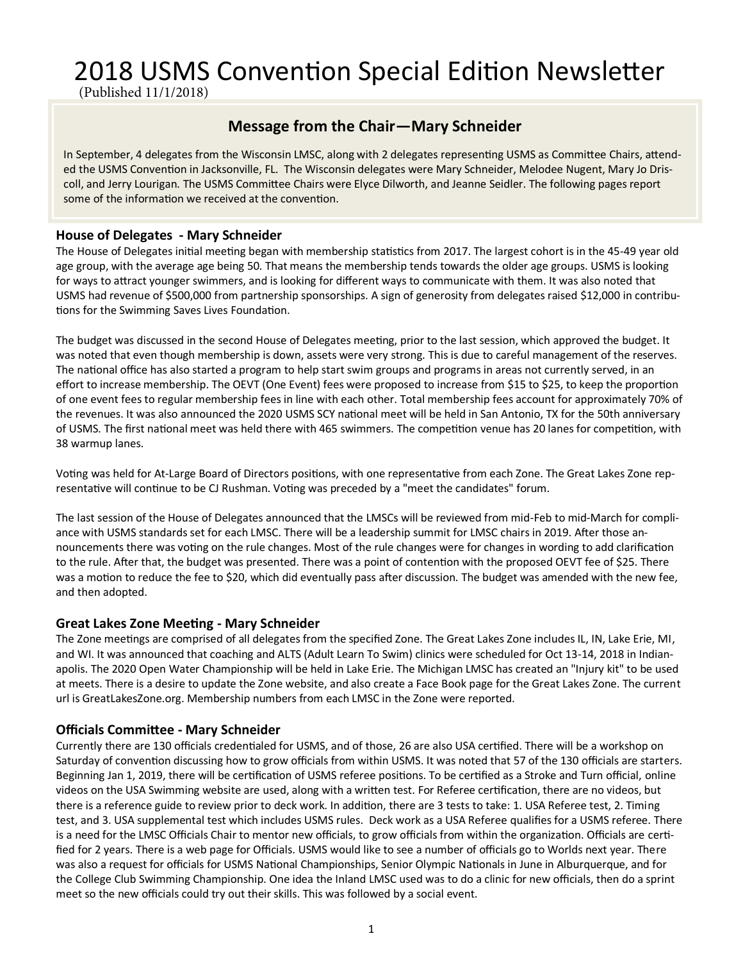# 2018 USMS Convention Special Edition Newsletter

(Published 11/1/2018)

## **Message from the Chair—Mary Schneider**

In September, 4 delegates from the Wisconsin LMSC, along with 2 delegates representing USMS as Committee Chairs, attended the USMS Convention in Jacksonville, FL. The Wisconsin delegates were Mary Schneider, Melodee Nugent, Mary Jo Driscoll, and Jerry Lourigan. The USMS Committee Chairs were Elyce Dilworth, and Jeanne Seidler. The following pages report some of the information we received at the convention.

## **House of Delegates - Mary Schneider**

The House of Delegates initial meeting began with membership statistics from 2017. The largest cohort is in the 45-49 year old age group, with the average age being 50. That means the membership tends towards the older age groups. USMS is looking for ways to attract younger swimmers, and is looking for different ways to communicate with them. It was also noted that USMS had revenue of \$500,000 from partnership sponsorships. A sign of generosity from delegates raised \$12,000 in contributions for the Swimming Saves Lives Foundation.

The budget was discussed in the second House of Delegates meeting, prior to the last session, which approved the budget. It was noted that even though membership is down, assets were very strong. This is due to careful management of the reserves. The national office has also started a program to help start swim groups and programs in areas not currently served, in an effort to increase membership. The OEVT (One Event) fees were proposed to increase from \$15 to \$25, to keep the proportion of one event fees to regular membership fees in line with each other. Total membership fees account for approximately 70% of the revenues. It was also announced the 2020 USMS SCY national meet will be held in San Antonio, TX for the 50th anniversary of USMS. The first national meet was held there with 465 swimmers. The competition venue has 20 lanes for competition, with 38 warmup lanes.

Voting was held for At-Large Board of Directors positions, with one representative from each Zone. The Great Lakes Zone representative will continue to be CJ Rushman. Voting was preceded by a "meet the candidates" forum.

The last session of the House of Delegates announced that the LMSCs will be reviewed from mid-Feb to mid-March for compliance with USMS standards set for each LMSC. There will be a leadership summit for LMSC chairs in 2019. After those announcements there was voting on the rule changes. Most of the rule changes were for changes in wording to add clarification to the rule. After that, the budget was presented. There was a point of contention with the proposed OEVT fee of \$25. There was a motion to reduce the fee to \$20, which did eventually pass after discussion. The budget was amended with the new fee, and then adopted.

## **Great Lakes Zone Meeting - Mary Schneider**

The Zone meetings are comprised of all delegates from the specified Zone. The Great Lakes Zone includes IL, IN, Lake Erie, MI, and WI. It was announced that coaching and ALTS (Adult Learn To Swim) clinics were scheduled for Oct 13-14, 2018 in Indianapolis. The 2020 Open Water Championship will be held in Lake Erie. The Michigan LMSC has created an "Injury kit" to be used at meets. There is a desire to update the Zone website, and also create a Face Book page for the Great Lakes Zone. The current url is GreatLakesZone.org. Membership numbers from each LMSC in the Zone were reported.

## **Officials Committee - Mary Schneider**

Currently there are 130 officials credentialed for USMS, and of those, 26 are also USA certified. There will be a workshop on Saturday of convention discussing how to grow officials from within USMS. It was noted that 57 of the 130 officials are starters. Beginning Jan 1, 2019, there will be certification of USMS referee positions. To be certified as a Stroke and Turn official, online videos on the USA Swimming website are used, along with a written test. For Referee certification, there are no videos, but there is a reference guide to review prior to deck work. In addition, there are 3 tests to take: 1. USA Referee test, 2. Timing test, and 3. USA supplemental test which includes USMS rules. Deck work as a USA Referee qualifies for a USMS referee. There is a need for the LMSC Officials Chair to mentor new officials, to grow officials from within the organization. Officials are certified for 2 years. There is a web page for Officials. USMS would like to see a number of officials go to Worlds next year. There was also a request for officials for USMS National Championships, Senior Olympic Nationals in June in Alburquerque, and for the College Club Swimming Championship. One idea the Inland LMSC used was to do a clinic for new officials, then do a sprint meet so the new officials could try out their skills. This was followed by a social event.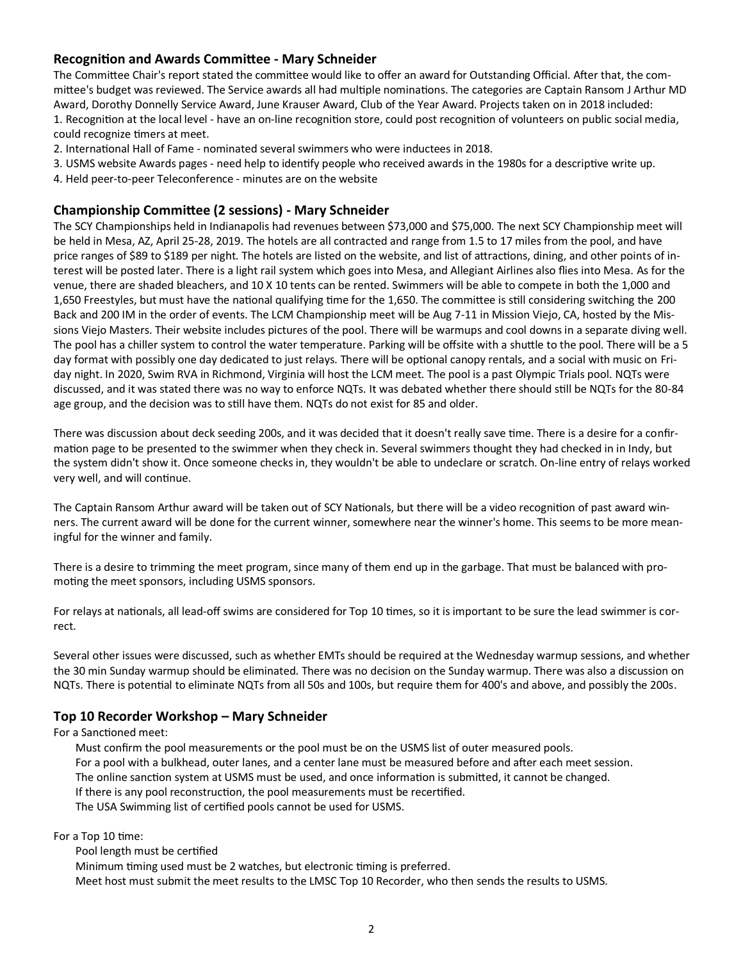## **Recognition and Awards Committee - Mary Schneider**

The Committee Chair's report stated the committee would like to offer an award for Outstanding Official. After that, the committee's budget was reviewed. The Service awards all had multiple nominations. The categories are Captain Ransom J Arthur MD Award, Dorothy Donnelly Service Award, June Krauser Award, Club of the Year Award. Projects taken on in 2018 included: 1. Recognition at the local level - have an on-line recognition store, could post recognition of volunteers on public social media, could recognize timers at meet.

- 2. International Hall of Fame nominated several swimmers who were inductees in 2018.
- 3. USMS website Awards pages need help to identify people who received awards in the 1980s for a descriptive write up.
- 4. Held peer-to-peer Teleconference minutes are on the website

## **Championship Committee (2 sessions) - Mary Schneider**

The SCY Championships held in Indianapolis had revenues between \$73,000 and \$75,000. The next SCY Championship meet will be held in Mesa, AZ, April 25-28, 2019. The hotels are all contracted and range from 1.5 to 17 miles from the pool, and have price ranges of \$89 to \$189 per night. The hotels are listed on the website, and list of attractions, dining, and other points of interest will be posted later. There is a light rail system which goes into Mesa, and Allegiant Airlines also flies into Mesa. As for the venue, there are shaded bleachers, and 10 X 10 tents can be rented. Swimmers will be able to compete in both the 1,000 and 1,650 Freestyles, but must have the national qualifying time for the 1,650. The committee is still considering switching the 200 Back and 200 IM in the order of events. The LCM Championship meet will be Aug 7-11 in Mission Viejo, CA, hosted by the Missions Viejo Masters. Their website includes pictures of the pool. There will be warmups and cool downs in a separate diving well. The pool has a chiller system to control the water temperature. Parking will be offsite with a shuttle to the pool. There will be a 5 day format with possibly one day dedicated to just relays. There will be optional canopy rentals, and a social with music on Friday night. In 2020, Swim RVA in Richmond, Virginia will host the LCM meet. The pool is a past Olympic Trials pool. NQTs were discussed, and it was stated there was no way to enforce NQTs. It was debated whether there should still be NQTs for the 80-84 age group, and the decision was to still have them. NQTs do not exist for 85 and older.

There was discussion about deck seeding 200s, and it was decided that it doesn't really save time. There is a desire for a confirmation page to be presented to the swimmer when they check in. Several swimmers thought they had checked in in Indy, but the system didn't show it. Once someone checks in, they wouldn't be able to undeclare or scratch. On-line entry of relays worked very well, and will continue.

The Captain Ransom Arthur award will be taken out of SCY Nationals, but there will be a video recognition of past award winners. The current award will be done for the current winner, somewhere near the winner's home. This seems to be more meaningful for the winner and family.

There is a desire to trimming the meet program, since many of them end up in the garbage. That must be balanced with promoting the meet sponsors, including USMS sponsors.

For relays at nationals, all lead-off swims are considered for Top 10 times, so it is important to be sure the lead swimmer is correct.

Several other issues were discussed, such as whether EMTs should be required at the Wednesday warmup sessions, and whether the 30 min Sunday warmup should be eliminated. There was no decision on the Sunday warmup. There was also a discussion on NQTs. There is potential to eliminate NQTs from all 50s and 100s, but require them for 400's and above, and possibly the 200s.

#### **Top 10 Recorder Workshop – Mary Schneider**

For a Sanctioned meet:

Must confirm the pool measurements or the pool must be on the USMS list of outer measured pools. For a pool with a bulkhead, outer lanes, and a center lane must be measured before and after each meet session. The online sanction system at USMS must be used, and once information is submitted, it cannot be changed. If there is any pool reconstruction, the pool measurements must be recertified. The USA Swimming list of certified pools cannot be used for USMS.

For a Top 10 time:

Pool length must be certified Minimum timing used must be 2 watches, but electronic timing is preferred. Meet host must submit the meet results to the LMSC Top 10 Recorder, who then sends the results to USMS.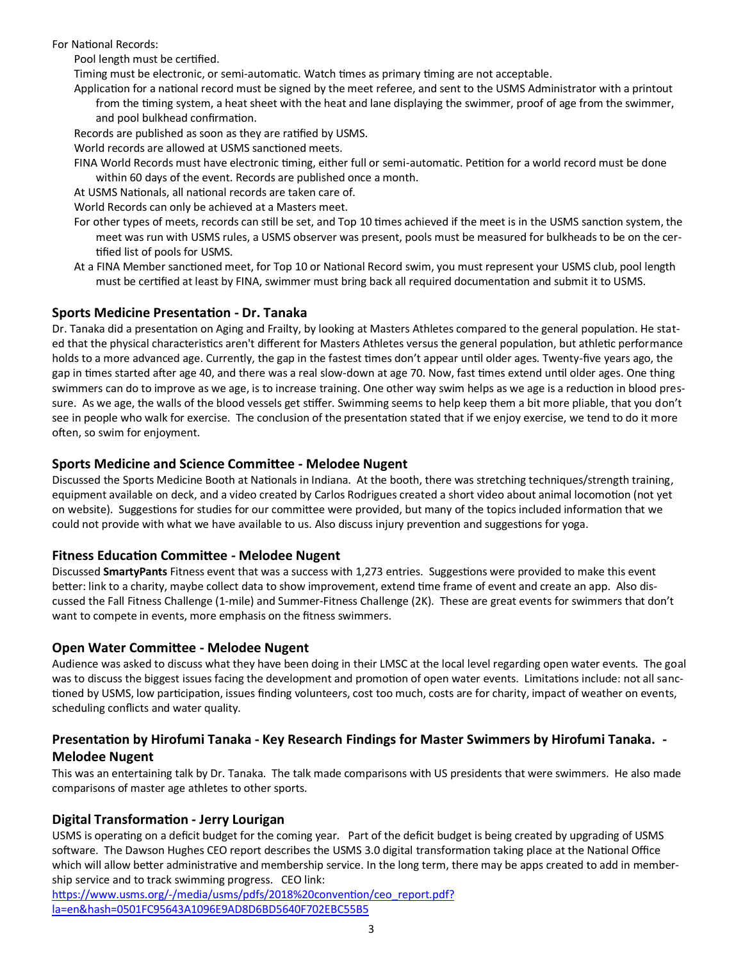For National Records:

Pool length must be certified.

Timing must be electronic, or semi-automatic. Watch times as primary timing are not acceptable.

Application for a national record must be signed by the meet referee, and sent to the USMS Administrator with a printout from the timing system, a heat sheet with the heat and lane displaying the swimmer, proof of age from the swimmer, and pool bulkhead confirmation.

Records are published as soon as they are ratified by USMS.

World records are allowed at USMS sanctioned meets.

- FINA World Records must have electronic timing, either full or semi-automatic. Petition for a world record must be done within 60 days of the event. Records are published once a month.
- At USMS Nationals, all national records are taken care of.

World Records can only be achieved at a Masters meet.

- For other types of meets, records can still be set, and Top 10 times achieved if the meet is in the USMS sanction system, the meet was run with USMS rules, a USMS observer was present, pools must be measured for bulkheads to be on the certified list of pools for USMS.
- At a FINA Member sanctioned meet, for Top 10 or National Record swim, you must represent your USMS club, pool length must be certified at least by FINA, swimmer must bring back all required documentation and submit it to USMS.

## **Sports Medicine Presentation - Dr. Tanaka**

Dr. Tanaka did a presentation on Aging and Frailty, by looking at Masters Athletes compared to the general population. He stated that the physical characteristics aren't different for Masters Athletes versus the general population, but athletic performance holds to a more advanced age. Currently, the gap in the fastest times don't appear until older ages. Twenty-five years ago, the gap in times started after age 40, and there was a real slow-down at age 70. Now, fast times extend until older ages. One thing swimmers can do to improve as we age, is to increase training. One other way swim helps as we age is a reduction in blood pressure. As we age, the walls of the blood vessels get stiffer. Swimming seems to help keep them a bit more pliable, that you don't see in people who walk for exercise. The conclusion of the presentation stated that if we enjoy exercise, we tend to do it more often, so swim for enjoyment.

## **Sports Medicine and Science Committee - Melodee Nugent**

Discussed the Sports Medicine Booth at Nationals in Indiana. At the booth, there was stretching techniques/strength training, equipment available on deck, and a video created by Carlos Rodrigues created a short video about animal locomotion (not yet on website). Suggestions for studies for our committee were provided, but many of the topics included information that we could not provide with what we have available to us. Also discuss injury prevention and suggestions for yoga.

## **Fitness Education Committee - Melodee Nugent**

Discussed **SmartyPants** Fitness event that was a success with 1,273 entries. Suggestions were provided to make this event better: link to a charity, maybe collect data to show improvement, extend time frame of event and create an app. Also discussed the Fall Fitness Challenge (1-mile) and Summer-Fitness Challenge (2K). These are great events for swimmers that don't want to compete in events, more emphasis on the fitness swimmers.

## **Open Water Committee - Melodee Nugent**

Audience was asked to discuss what they have been doing in their LMSC at the local level regarding open water events. The goal was to discuss the biggest issues facing the development and promotion of open water events. Limitations include: not all sanctioned by USMS, low participation, issues finding volunteers, cost too much, costs are for charity, impact of weather on events, scheduling conflicts and water quality.

## **Presentation by Hirofumi Tanaka - Key Research Findings for Master Swimmers by Hirofumi Tanaka. - Melodee Nugent**

This was an entertaining talk by Dr. Tanaka. The talk made comparisons with US presidents that were swimmers. He also made comparisons of master age athletes to other sports.

## **Digital Transformation - Jerry Lourigan**

USMS is operating on a deficit budget for the coming year. Part of the deficit budget is being created by upgrading of USMS software. The Dawson Hughes CEO report describes the USMS 3.0 digital transformation taking place at the National Office which will allow better administrative and membership service. In the long term, there may be apps created to add in membership service and to track swimming progress. CEO link:

https://www.usms.org/-[/media/usms/pdfs/2018%20convention/ceo\\_report.pdf?](https://www.usms.org/-/media/usms/pdfs/2018%20convention/ceo_report.pdf?la=en&hash=0501FC95643A1096E9AD8D6BD5640F702EBC55B5) [la=en&hash=0501FC95643A1096E9AD8D6BD5640F702EBC55B5](https://www.usms.org/-/media/usms/pdfs/2018%20convention/ceo_report.pdf?la=en&hash=0501FC95643A1096E9AD8D6BD5640F702EBC55B5)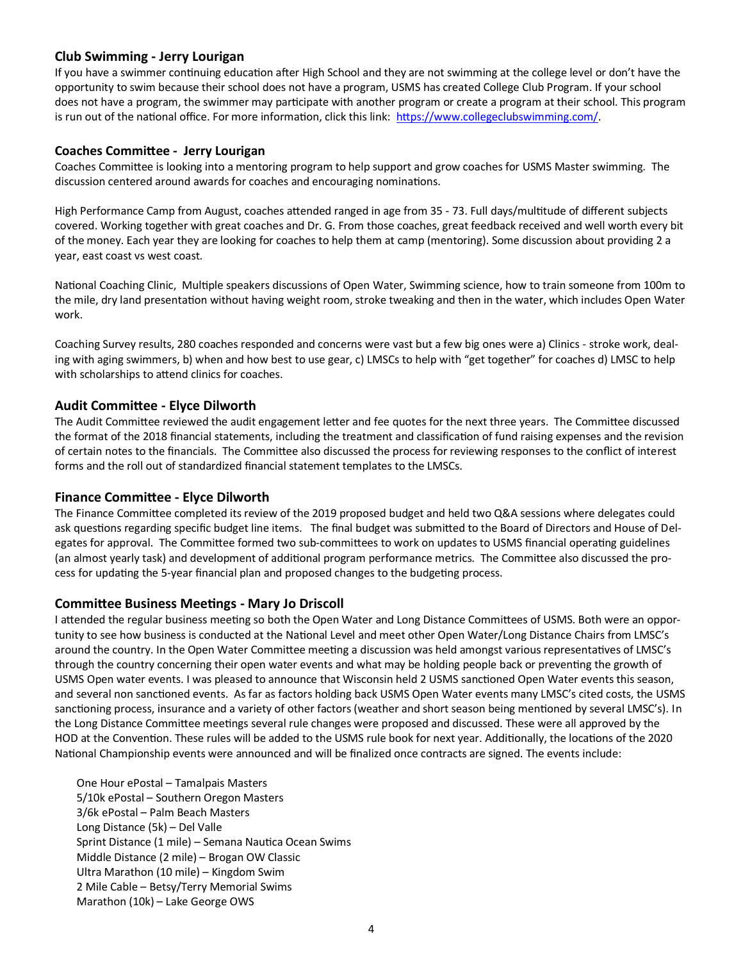## **Club Swimming - Jerry Lourigan**

If you have a swimmer continuing education after High School and they are not swimming at the college level or don't have the opportunity to swim because their school does not have a program, USMS has created College Club Program. If your school does not have a program, the swimmer may participate with another program or create a program at their school. This program is run out of the national office. For more information, click this link: [https://www.collegeclubswimming.com/.](https://www.collegeclubswimming.com/)

#### **Coaches Committee - Jerry Lourigan**

Coaches Committee is looking into a mentoring program to help support and grow coaches for USMS Master swimming. The discussion centered around awards for coaches and encouraging nominations.

High Performance Camp from August, coaches attended ranged in age from 35 - 73. Full days/multitude of different subjects covered. Working together with great coaches and Dr. G. From those coaches, great feedback received and well worth every bit of the money. Each year they are looking for coaches to help them at camp (mentoring). Some discussion about providing 2 a year, east coast vs west coast.

National Coaching Clinic, Multiple speakers discussions of Open Water, Swimming science, how to train someone from 100m to the mile, dry land presentation without having weight room, stroke tweaking and then in the water, which includes Open Water work.

Coaching Survey results, 280 coaches responded and concerns were vast but a few big ones were a) Clinics - stroke work, dealing with aging swimmers, b) when and how best to use gear, c) LMSCs to help with "get together" for coaches d) LMSC to help with scholarships to attend clinics for coaches.

## **Audit Committee - Elyce Dilworth**

The Audit Committee reviewed the audit engagement letter and fee quotes for the next three years. The Committee discussed the format of the 2018 financial statements, including the treatment and classification of fund raising expenses and the revision of certain notes to the financials. The Committee also discussed the process for reviewing responses to the conflict of interest forms and the roll out of standardized financial statement templates to the LMSCs.

## **Finance Committee - Elyce Dilworth**

The Finance Committee completed its review of the 2019 proposed budget and held two Q&A sessions where delegates could ask questions regarding specific budget line items. The final budget was submitted to the Board of Directors and House of Delegates for approval. The Committee formed two sub-committees to work on updates to USMS financial operating guidelines (an almost yearly task) and development of additional program performance metrics. The Committee also discussed the process for updating the 5-year financial plan and proposed changes to the budgeting process.

## **Committee Business Meetings - Mary Jo Driscoll**

I attended the regular business meeting so both the Open Water and Long Distance Committees of USMS. Both were an opportunity to see how business is conducted at the National Level and meet other Open Water/Long Distance Chairs from LMSC's around the country. In the Open Water Committee meeting a discussion was held amongst various representatives of LMSC's through the country concerning their open water events and what may be holding people back or preventing the growth of USMS Open water events. I was pleased to announce that Wisconsin held 2 USMS sanctioned Open Water events this season, and several non sanctioned events. As far as factors holding back USMS Open Water events many LMSC's cited costs, the USMS sanctioning process, insurance and a variety of other factors (weather and short season being mentioned by several LMSC's). In the Long Distance Committee meetings several rule changes were proposed and discussed. These were all approved by the HOD at the Convention. These rules will be added to the USMS rule book for next year. Additionally, the locations of the 2020 National Championship events were announced and will be finalized once contracts are signed. The events include:

One Hour ePostal – Tamalpais Masters 5/10k ePostal – Southern Oregon Masters 3/6k ePostal – Palm Beach Masters Long Distance (5k) – Del Valle Sprint Distance (1 mile) – Semana Nautica Ocean Swims Middle Distance (2 mile) – Brogan OW Classic Ultra Marathon (10 mile) – Kingdom Swim 2 Mile Cable – Betsy/Terry Memorial Swims Marathon (10k) – Lake George OWS